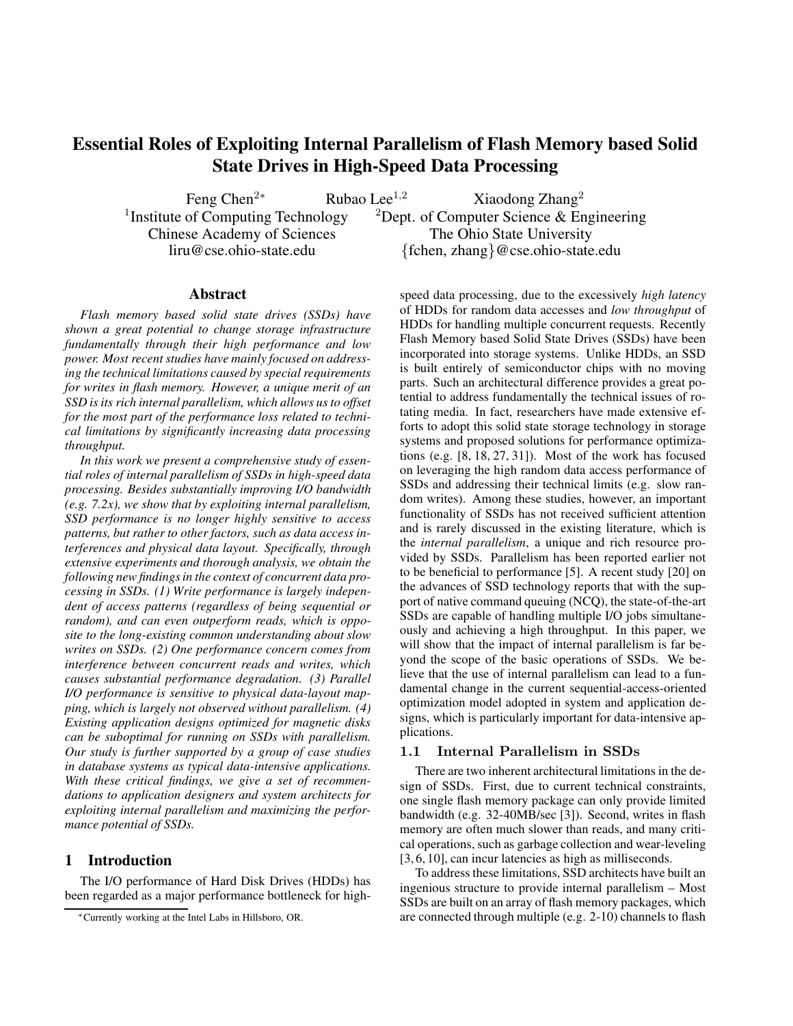# **Essential Roles of Exploiting Internal Parallelism of Flash Memory based Solid State Drives in High-Speed Data Processing**

Feng Chen<sup>2∗</sup> Rubao Lee<sup>1,2</sup> Xiaodong Zhang<sup>2</sup> <sup>1</sup>Institute of Computing Technology

<sup>2</sup>Dept. of Computer Science  $\&$  Engineering Chinese Academy of Sciences The Ohio State University liru@cse.ohio-state.edu {fchen, zhang}@cse.ohio-state.edu

# **Abstract**

*Flash memory based solid state drives (SSDs) have shown a great potential to change storage infrastructure fundamentally through their high performance and low power. Most recent studies have mainly focused on addressing the technical limitations caused by special requirements for writes in flash memory. However, a unique merit of an SSD is its rich internal parallelism, which allows us to offset for the most part of the performance loss related to technical limitations by significantly increasing data processing throughput.*

*In this work we present a comprehensive study of essential roles of internal parallelism of SSDs in high-speed data processing. Besides substantially improving I/O bandwidth (e.g. 7.2x), we show that by exploiting internal parallelism, SSD performance is no longer highly sensitive to access patterns, but rather to other factors, such as data access interferences and physical data layout. Specifically, through extensive experiments and thorough analysis, we obtain the following new findings in the context of concurrent data processing in SSDs. (1) Write performance is largely independent of access patterns (regardless of being sequential or random), and can even outperform reads, which is opposite to the long-existing common understanding about slow writes on SSDs. (2) One performance concern comes from interference between concurrent reads and writes, which causes substantial performance degradation. (3) Parallel I/O performance is sensitive to physical data-layout mapping, which is largely not observed without parallelism. (4) Existing application designs optimized for magnetic disks can be suboptimal for running on SSDs with parallelism. Our study is further supported by a group of case studies in database systems as typical data-intensive applications. With these critical findings, we give a set of recommendations to application designers and system architects for exploiting internal parallelism and maximizing the performance potential of SSDs.*

# **1 Introduction**

The I/O performance of Hard Disk Drives (HDDs) has been regarded as a major performance bottleneck for highspeed data processing, due to the excessively *high latency* of HDDs for random data accesses and *low throughput* of HDDs for handling multiple concurrent requests. Recently Flash Memory based Solid State Drives (SSDs) have been incorporated into storage systems. Unlike HDDs, an SSD is built entirely of semiconductor chips with no moving parts. Such an architectural difference provides a great potential to address fundamentally the technical issues of rotating media. In fact, researchers have made extensive efforts to adopt this solid state storage technology in storage systems and proposed solutions for performance optimizations (e.g. [8, 18, 27, 31]). Most of the work has focused on leveraging the high random data access performance of SSDs and addressing their technical limits (e.g. slow random writes). Among these studies, however, an important functionality of SSDs has not received sufficient attention and is rarely discussed in the existing literature, which is the *internal parallelism*, a unique and rich resource provided by SSDs. Parallelism has been reported earlier not to be beneficial to performance [5]. A recent study [20] on the advances of SSD technology reports that with the support of native command queuing (NCQ), the state-of-the-art SSDs are capable of handling multiple I/O jobs simultaneously and achieving a high throughput. In this paper, we will show that the impact of internal parallelism is far beyond the scope of the basic operations of SSDs. We believe that the use of internal parallelism can lead to a fundamental change in the current sequential-access-oriented optimization model adopted in system and application designs, which is particularly important for data-intensive applications.

## 1.1 Internal Parallelism in SSDs

There are two inherent architectural limitations in the design of SSDs. First, due to current technical constraints, one single flash memory package can only provide limited bandwidth (e.g. 32-40MB/sec [3]). Second, writes in flash memory are often much slower than reads, and many critical operations, such as garbage collection and wear-leveling [3, 6, 10], can incur latencies as high as milliseconds.

To address these limitations, SSD architects have built an ingenious structure to provide internal parallelism – Most SSDs are built on an array of flash memory packages, which are connected through multiple (e.g. 2-10) channels to flash

<sup>∗</sup>Currently working at the Intel Labs in Hillsboro, OR.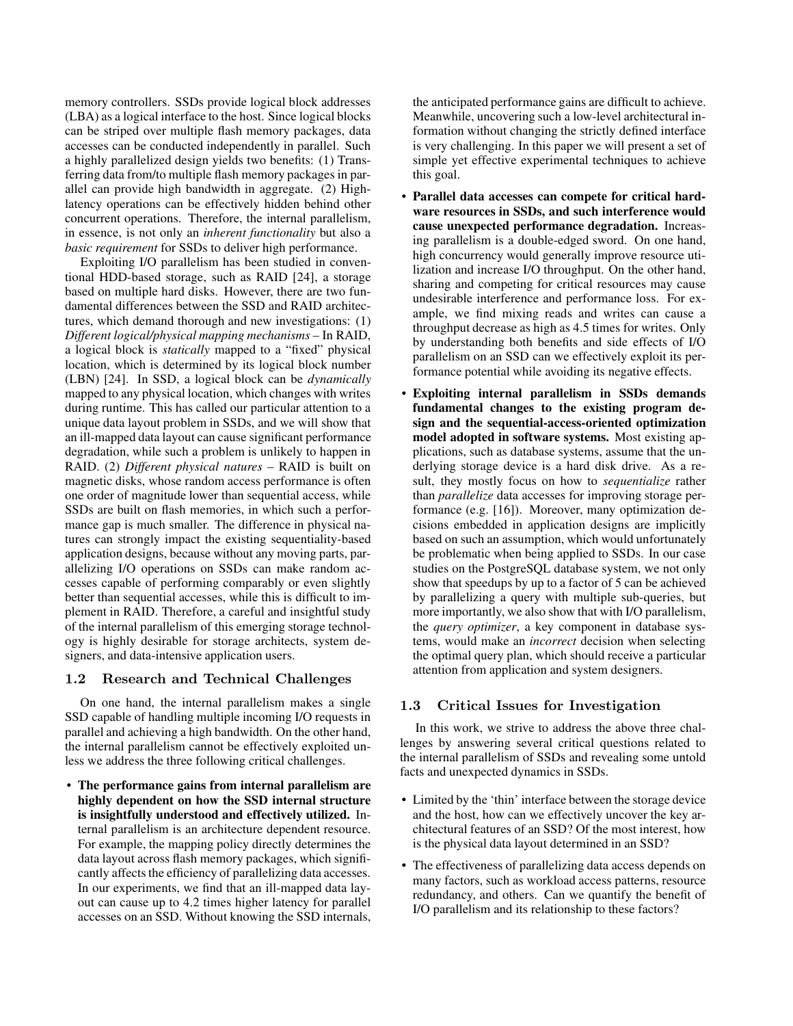memory controllers. SSDs provide logical block addresses (LBA) as a logical interface to the host. Since logical blocks can be striped over multiple flash memory packages, data accesses can be conducted independently in parallel. Such a highly parallelized design yields two benefits: (1) Transferring data from/to multiple flash memory packages in parallel can provide high bandwidth in aggregate. (2) Highlatency operations can be effectively hidden behind other concurrent operations. Therefore, the internal parallelism, in essence, is not only an *inherent functionality* but also a *basic requirement* for SSDs to deliver high performance.

Exploiting I/O parallelism has been studied in conventional HDD-based storage, such as RAID [24], a storage based on multiple hard disks. However, there are two fundamental differences between the SSD and RAID architectures, which demand thorough and new investigations: (1) *Different logical/physical mapping mechanisms* – In RAID, a logical block is *statically* mapped to a "fixed" physical location, which is determined by its logical block number (LBN) [24]. In SSD, a logical block can be *dynamically* mapped to any physical location, which changes with writes during runtime. This has called our particular attention to a unique data layout problem in SSDs, and we will show that an ill-mapped data layout can cause significant performance degradation, while such a problem is unlikely to happen in RAID. (2) *Different physical natures* – RAID is built on magnetic disks, whose random access performance is often one order of magnitude lower than sequential access, while SSDs are built on flash memories, in which such a performance gap is much smaller. The difference in physical natures can strongly impact the existing sequentiality-based application designs, because without any moving parts, parallelizing I/O operations on SSDs can make random accesses capable of performing comparably or even slightly better than sequential accesses, while this is difficult to implement in RAID. Therefore, a careful and insightful study of the internal parallelism of this emerging storage technology is highly desirable for storage architects, system designers, and data-intensive application users.

#### 1.2 Research and Technical Challenges

On one hand, the internal parallelism makes a single SSD capable of handling multiple incoming I/O requests in parallel and achieving a high bandwidth. On the other hand, the internal parallelism cannot be effectively exploited unless we address the three following critical challenges.

• **The performance gains from internal parallelism are highly dependent on how the SSD internal structure is insightfully understood and effectively utilized.** Internal parallelism is an architecture dependent resource. For example, the mapping policy directly determines the data layout across flash memory packages, which significantly affects the efficiency of parallelizing data accesses. In our experiments, we find that an ill-mapped data layout can cause up to 4.2 times higher latency for parallel accesses on an SSD. Without knowing the SSD internals, the anticipated performance gains are difficult to achieve. Meanwhile, uncovering such a low-level architectural information without changing the strictly defined interface is very challenging. In this paper we will present a set of simple yet effective experimental techniques to achieve this goal.

- **Parallel data accesses can compete for critical hardware resources in SSDs, and such interference would cause unexpected performance degradation.** Increasing parallelism is a double-edged sword. On one hand, high concurrency would generally improve resource utilization and increase I/O throughput. On the other hand, sharing and competing for critical resources may cause undesirable interference and performance loss. For example, we find mixing reads and writes can cause a throughput decrease as high as 4.5 times for writes. Only by understanding both benefits and side effects of I/O parallelism on an SSD can we effectively exploit its performance potential while avoiding its negative effects.
- **Exploiting internal parallelism in SSDs demands fundamental changes to the existing program design and the sequential-access-oriented optimization model adopted in software systems.** Most existing applications, such as database systems, assume that the underlying storage device is a hard disk drive. As a result, they mostly focus on how to *sequentialize* rather than *parallelize* data accesses for improving storage performance (e.g. [16]). Moreover, many optimization decisions embedded in application designs are implicitly based on such an assumption, which would unfortunately be problematic when being applied to SSDs. In our case studies on the PostgreSQL database system, we not only show that speedups by up to a factor of 5 can be achieved by parallelizing a query with multiple sub-queries, but more importantly, we also show that with I/O parallelism, the *query optimizer*, a key component in database systems, would make an *incorrect* decision when selecting the optimal query plan, which should receive a particular attention from application and system designers.

# 1.3 Critical Issues for Investigation

In this work, we strive to address the above three challenges by answering several critical questions related to the internal parallelism of SSDs and revealing some untold facts and unexpected dynamics in SSDs.

- Limited by the 'thin' interface between the storage device and the host, how can we effectively uncover the key architectural features of an SSD? Of the most interest, how is the physical data layout determined in an SSD?
- The effectiveness of parallelizing data access depends on many factors, such as workload access patterns, resource redundancy, and others. Can we quantify the benefit of I/O parallelism and its relationship to these factors?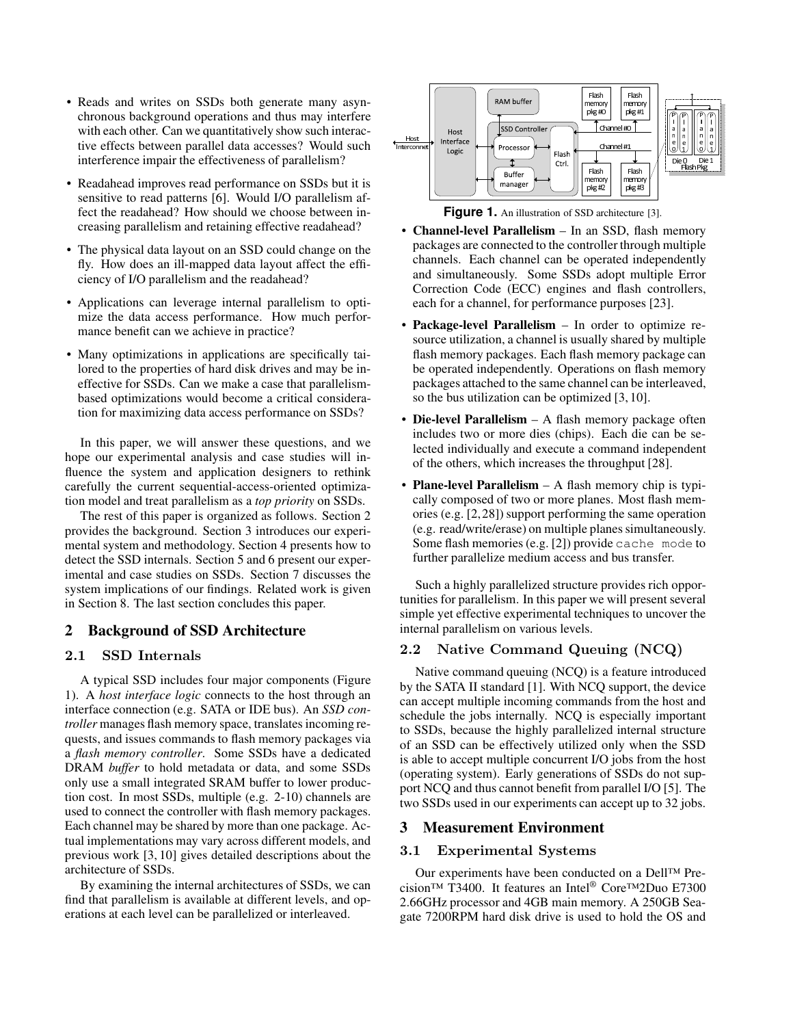- Reads and writes on SSDs both generate many asynchronous background operations and thus may interfere with each other. Can we quantitatively show such interactive effects between parallel data accesses? Would such interference impair the effectiveness of parallelism?
- Readahead improves read performance on SSDs but it is sensitive to read patterns [6]. Would I/O parallelism affect the readahead? How should we choose between increasing parallelism and retaining effective readahead?
- The physical data layout on an SSD could change on the fly. How does an ill-mapped data layout affect the efficiency of I/O parallelism and the readahead?
- Applications can leverage internal parallelism to optimize the data access performance. How much performance benefit can we achieve in practice?
- Many optimizations in applications are specifically tailored to the properties of hard disk drives and may be ineffective for SSDs. Can we make a case that parallelismbased optimizations would become a critical consideration for maximizing data access performance on SSDs?

In this paper, we will answer these questions, and we hope our experimental analysis and case studies will influence the system and application designers to rethink carefully the current sequential-access-oriented optimization model and treat parallelism as a *top priority* on SSDs.

The rest of this paper is organized as follows. Section 2 provides the background. Section 3 introduces our experimental system and methodology. Section 4 presents how to detect the SSD internals. Section 5 and 6 present our experimental and case studies on SSDs. Section 7 discusses the system implications of our findings. Related work is given in Section 8. The last section concludes this paper.

## **2 Background of SSD Architecture**

# 2.1 SSD Internals

A typical SSD includes four major components (Figure 1). A *host interface logic* connects to the host through an interface connection (e.g. SATA or IDE bus). An *SSD controller* manages flash memory space, translates incoming requests, and issues commands to flash memory packages via a *flash memory controller*. Some SSDs have a dedicated DRAM *buffer* to hold metadata or data, and some SSDs only use a small integrated SRAM buffer to lower production cost. In most SSDs, multiple (e.g. 2-10) channels are used to connect the controller with flash memory packages. Each channel may be shared by more than one package. Actual implementations may vary across different models, and previous work [3, 10] gives detailed descriptions about the architecture of SSDs.

By examining the internal architectures of SSDs, we can find that parallelism is available at different levels, and operations at each level can be parallelized or interleaved.



Figure 1. An illustration of SSD architecture [3].

- **Channel-level Parallelism** In an SSD, flash memory packages are connected to the controller through multiple channels. Each channel can be operated independently and simultaneously. Some SSDs adopt multiple Error Correction Code (ECC) engines and flash controllers, each for a channel, for performance purposes [23].
- **Package-level Parallelism** In order to optimize resource utilization, a channel is usually shared by multiple flash memory packages. Each flash memory package can be operated independently. Operations on flash memory packages attached to the same channel can be interleaved, so the bus utilization can be optimized [3, 10].
- **Die-level Parallelism** A flash memory package often includes two or more dies (chips). Each die can be selected individually and execute a command independent of the others, which increases the throughput [28].
- **Plane-level Parallelism** A flash memory chip is typically composed of two or more planes. Most flash memories (e.g. [2,28]) support performing the same operation (e.g. read/write/erase) on multiple planes simultaneously. Some flash memories (e.g. [2]) provide cache mode to further parallelize medium access and bus transfer.

Such a highly parallelized structure provides rich opportunities for parallelism. In this paper we will present several simple yet effective experimental techniques to uncover the internal parallelism on various levels.

#### 2.2 Native Command Queuing (NCQ)

Native command queuing (NCQ) is a feature introduced by the SATA II standard [1]. With NCQ support, the device can accept multiple incoming commands from the host and schedule the jobs internally. NCQ is especially important to SSDs, because the highly parallelized internal structure of an SSD can be effectively utilized only when the SSD is able to accept multiple concurrent I/O jobs from the host (operating system). Early generations of SSDs do not support NCQ and thus cannot benefit from parallel I/O [5]. The two SSDs used in our experiments can accept up to 32 jobs.

# **3 Measurement Environment**

#### 3.1 Experimental Systems

Our experiments have been conducted on a Dell™ Precision™ T3400. It features an Intel® Core™2Duo E7300 2.66GHz processor and 4GB main memory. A 250GB Seagate 7200RPM hard disk drive is used to hold the OS and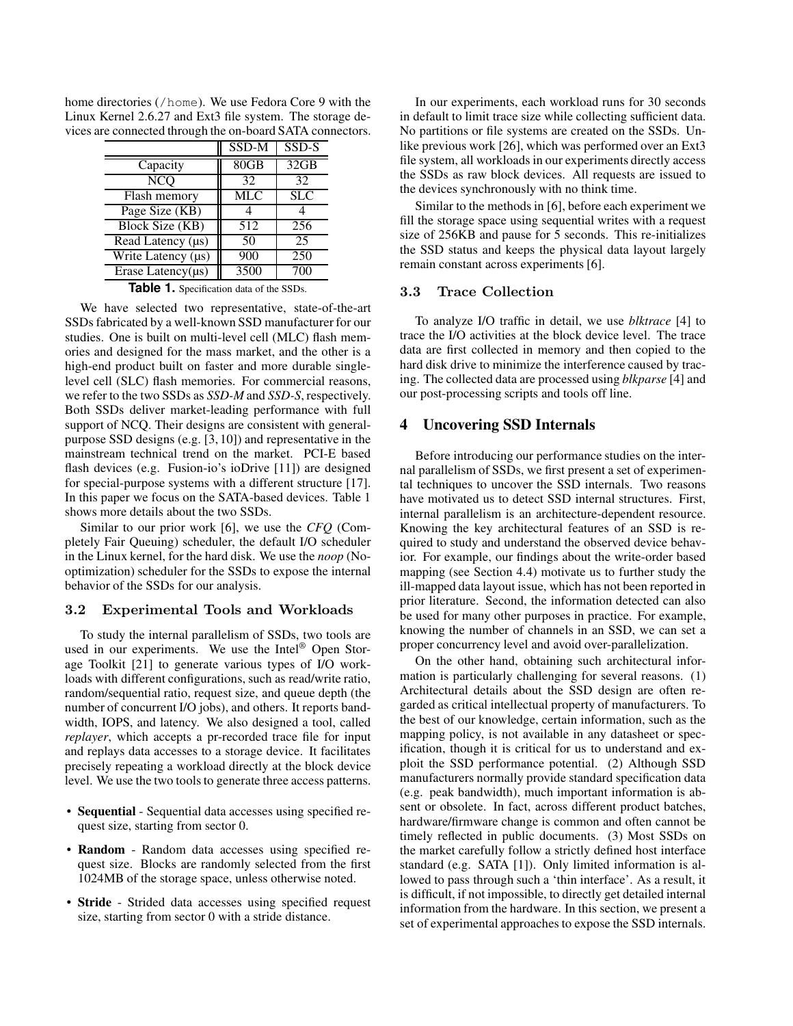home directories (/home). We use Fedora Core 9 with the Linux Kernel 2.6.27 and Ext3 file system. The storage devices are connected through the on-board SATA connectors.

|                          | SSD-M | SSD-S      |
|--------------------------|-------|------------|
| Capacity                 | 80GB  | 32GB       |
| <b>NCQ</b>               | 32    | 32         |
| Flash memory             | MLC   | <b>SLC</b> |
| Page Size (KB)           |       |            |
| <b>Block Size (KB)</b>   | 512   | 256        |
| Read Latency (µs)        | 50    | 25         |
| Write Latency $(\mu s)$  | 900   | 250        |
| Erase Latency( $\mu s$ ) | 3500  | 700        |

**Table 1.** Specification data of the SSDs.

We have selected two representative, state-of-the-art SSDs fabricated by a well-known SSD manufacturer for our studies. One is built on multi-level cell (MLC) flash memories and designed for the mass market, and the other is a high-end product built on faster and more durable singlelevel cell (SLC) flash memories. For commercial reasons, we refer to the two SSDs as *SSD-M* and *SSD-S*, respectively. Both SSDs deliver market-leading performance with full support of NCQ. Their designs are consistent with generalpurpose SSD designs (e.g. [3, 10]) and representative in the mainstream technical trend on the market. PCI-E based flash devices (e.g. Fusion-io's ioDrive [11]) are designed for special-purpose systems with a different structure [17]. In this paper we focus on the SATA-based devices. Table 1 shows more details about the two SSDs.

Similar to our prior work [6], we use the *CFQ* (Completely Fair Queuing) scheduler, the default I/O scheduler in the Linux kernel, for the hard disk. We use the *noop* (Nooptimization) scheduler for the SSDs to expose the internal behavior of the SSDs for our analysis.

## 3.2 Experimental Tools and Workloads

To study the internal parallelism of SSDs, two tools are used in our experiments. We use the Intel® Open Storage Toolkit [21] to generate various types of I/O workloads with different configurations, such as read/write ratio, random/sequential ratio, request size, and queue depth (the number of concurrent I/O jobs), and others. It reports bandwidth, IOPS, and latency. We also designed a tool, called *replayer*, which accepts a pr-recorded trace file for input and replays data accesses to a storage device. It facilitates precisely repeating a workload directly at the block device level. We use the two tools to generate three access patterns.

- **Sequential** Sequential data accesses using specified request size, starting from sector 0.
- **Random** Random data accesses using specified request size. Blocks are randomly selected from the first 1024MB of the storage space, unless otherwise noted.
- **Stride** Strided data accesses using specified request size, starting from sector 0 with a stride distance.

In our experiments, each workload runs for 30 seconds in default to limit trace size while collecting sufficient data. No partitions or file systems are created on the SSDs. Unlike previous work [26], which was performed over an Ext3 file system, all workloads in our experiments directly access the SSDs as raw block devices. All requests are issued to the devices synchronously with no think time.

Similar to the methods in [6], before each experiment we fill the storage space using sequential writes with a request size of 256KB and pause for 5 seconds. This re-initializes the SSD status and keeps the physical data layout largely remain constant across experiments [6].

# 3.3 Trace Collection

To analyze I/O traffic in detail, we use *blktrace* [4] to trace the I/O activities at the block device level. The trace data are first collected in memory and then copied to the hard disk drive to minimize the interference caused by tracing. The collected data are processed using *blkparse* [4] and our post-processing scripts and tools off line.

# **4 Uncovering SSD Internals**

Before introducing our performance studies on the internal parallelism of SSDs, we first present a set of experimental techniques to uncover the SSD internals. Two reasons have motivated us to detect SSD internal structures. First, internal parallelism is an architecture-dependent resource. Knowing the key architectural features of an SSD is required to study and understand the observed device behavior. For example, our findings about the write-order based mapping (see Section 4.4) motivate us to further study the ill-mapped data layout issue, which has not been reported in prior literature. Second, the information detected can also be used for many other purposes in practice. For example, knowing the number of channels in an SSD, we can set a proper concurrency level and avoid over-parallelization.

On the other hand, obtaining such architectural information is particularly challenging for several reasons. (1) Architectural details about the SSD design are often regarded as critical intellectual property of manufacturers. To the best of our knowledge, certain information, such as the mapping policy, is not available in any datasheet or specification, though it is critical for us to understand and exploit the SSD performance potential. (2) Although SSD manufacturers normally provide standard specification data (e.g. peak bandwidth), much important information is absent or obsolete. In fact, across different product batches, hardware/firmware change is common and often cannot be timely reflected in public documents. (3) Most SSDs on the market carefully follow a strictly defined host interface standard (e.g. SATA [1]). Only limited information is allowed to pass through such a 'thin interface'. As a result, it is difficult, if not impossible, to directly get detailed internal information from the hardware. In this section, we present a set of experimental approaches to expose the SSD internals.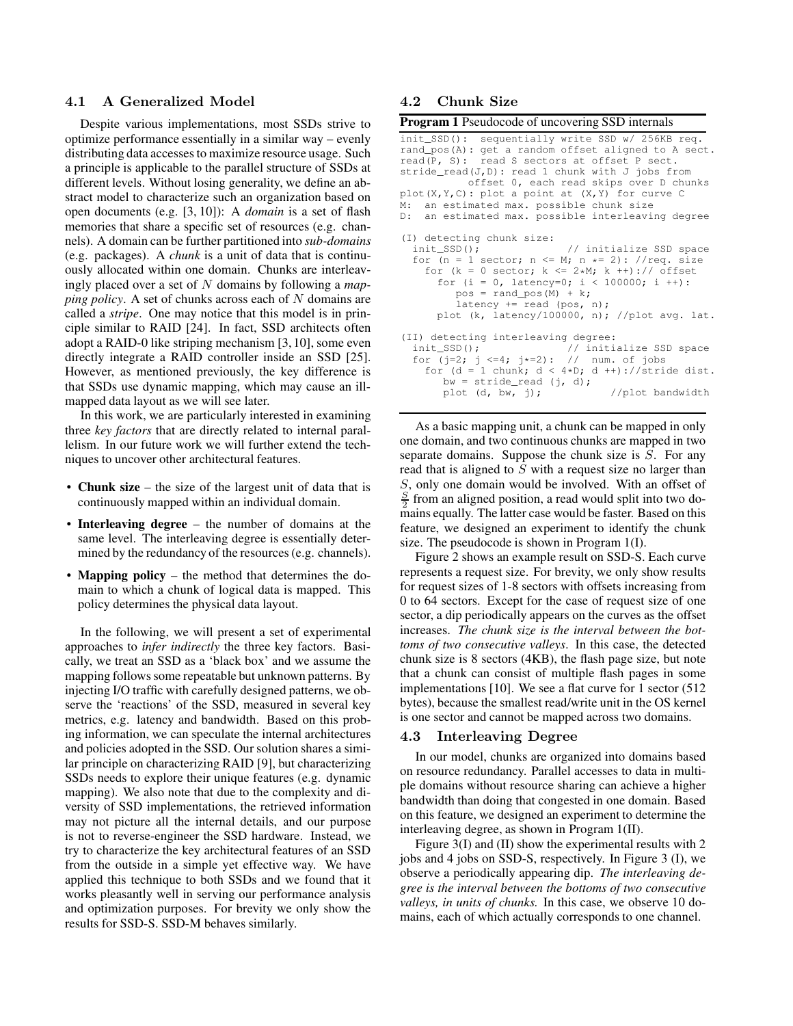#### 4.1 A Generalized Model

Despite various implementations, most SSDs strive to optimize performance essentially in a similar way – evenly distributing data accesses to maximize resource usage. Such a principle is applicable to the parallel structure of SSDs at different levels. Without losing generality, we define an abstract model to characterize such an organization based on open documents (e.g. [3, 10]): A *domain* is a set of flash memories that share a specific set of resources (e.g. channels). A domain can be further partitioned into *sub-domains* (e.g. packages). A *chunk* is a unit of data that is continuously allocated within one domain. Chunks are interleavingly placed over a set of N domains by following a *mapping policy*. A set of chunks across each of N domains are called a *stripe*. One may notice that this model is in principle similar to RAID [24]. In fact, SSD architects often adopt a RAID-0 like striping mechanism [3, 10], some even directly integrate a RAID controller inside an SSD [25]. However, as mentioned previously, the key difference is that SSDs use dynamic mapping, which may cause an illmapped data layout as we will see later.

In this work, we are particularly interested in examining three *key factors* that are directly related to internal parallelism. In our future work we will further extend the techniques to uncover other architectural features.

- **Chunk size** the size of the largest unit of data that is continuously mapped within an individual domain.
- **Interleaving degree** the number of domains at the same level. The interleaving degree is essentially determined by the redundancy of the resources (e.g. channels).
- **Mapping policy** the method that determines the domain to which a chunk of logical data is mapped. This policy determines the physical data layout.

In the following, we will present a set of experimental approaches to *infer indirectly* the three key factors. Basically, we treat an SSD as a 'black box' and we assume the mapping follows some repeatable but unknown patterns. By injecting I/O traffic with carefully designed patterns, we observe the 'reactions' of the SSD, measured in several key metrics, e.g. latency and bandwidth. Based on this probing information, we can speculate the internal architectures and policies adopted in the SSD. Our solution shares a similar principle on characterizing RAID [9], but characterizing SSDs needs to explore their unique features (e.g. dynamic mapping). We also note that due to the complexity and diversity of SSD implementations, the retrieved information may not picture all the internal details, and our purpose is not to reverse-engineer the SSD hardware. Instead, we try to characterize the key architectural features of an SSD from the outside in a simple yet effective way. We have applied this technique to both SSDs and we found that it works pleasantly well in serving our performance analysis and optimization purposes. For brevity we only show the results for SSD-S. SSD-M behaves similarly.

#### 4.2 Chunk Size

```
Program 1 Pseudocode of uncovering SSD internals
init_SSD(): sequentially write SSD w/ 256KB req.
rand_pos(A): get a random offset aligned to A sect.
read(P, S): read S sectors at offset P sect.
stride_read(J,D): read 1 chunk with J jobs from
          offset 0, each read skips over D chunks
plot(X,Y,C): plot a point at (X,Y) for curve C
M: an estimated max. possible chunk size
D: an estimated max. possible interleaving degree
(I) detecting chunk size:
  init_SSD(); \frac{1}{2} // initialize SSD space
  for (n = 1 sector; n \leq M; n \neq 2): //req. size
    for (k = 0 \text{ sector}; k \le 2*M; k++):// offset
      for (i = 0, latency=0; i < 100000; i ++):
         pos = rand_pos(M) + k;
         latency += read (pos, n);
      plot (k, latency/100000, n); //plot avg. lat.
(II) detecting interleaving degree:
  init_SSD(); // initialize SSD space
  for (j=2; j <=4; j*=2): // num. of jobs
    for (d = 1 \text{ chunk}; d < 4*D; d++)://stride dist.
      bw = stride_read (j, d);
      plot (d, bw, j); //plot bandwidth
```
As a basic mapping unit, a chunk can be mapped in only one domain, and two continuous chunks are mapped in two separate domains. Suppose the chunk size is S. For any read that is aligned to  $S$  with a request size no larger than S, only one domain would be involved. With an offset of S  $\frac{S}{2}$  from an aligned position, a read would split into two domains equally. The latter case would be faster. Based on this feature, we designed an experiment to identify the chunk size. The pseudocode is shown in Program 1(I).

Figure 2 shows an example result on SSD-S. Each curve represents a request size. For brevity, we only show results for request sizes of 1-8 sectors with offsets increasing from 0 to 64 sectors. Except for the case of request size of one sector, a dip periodically appears on the curves as the offset increases. *The chunk size is the interval between the bottoms of two consecutive valleys*. In this case, the detected chunk size is 8 sectors (4KB), the flash page size, but note that a chunk can consist of multiple flash pages in some implementations [10]. We see a flat curve for 1 sector (512 bytes), because the smallest read/write unit in the OS kernel is one sector and cannot be mapped across two domains.

# 4.3 Interleaving Degree

In our model, chunks are organized into domains based on resource redundancy. Parallel accesses to data in multiple domains without resource sharing can achieve a higher bandwidth than doing that congested in one domain. Based on this feature, we designed an experiment to determine the interleaving degree, as shown in Program 1(II).

Figure 3(I) and (II) show the experimental results with 2 jobs and 4 jobs on SSD-S, respectively. In Figure 3 (I), we observe a periodically appearing dip. *The interleaving degree is the interval between the bottoms of two consecutive valleys, in units of chunks.* In this case, we observe 10 domains, each of which actually corresponds to one channel.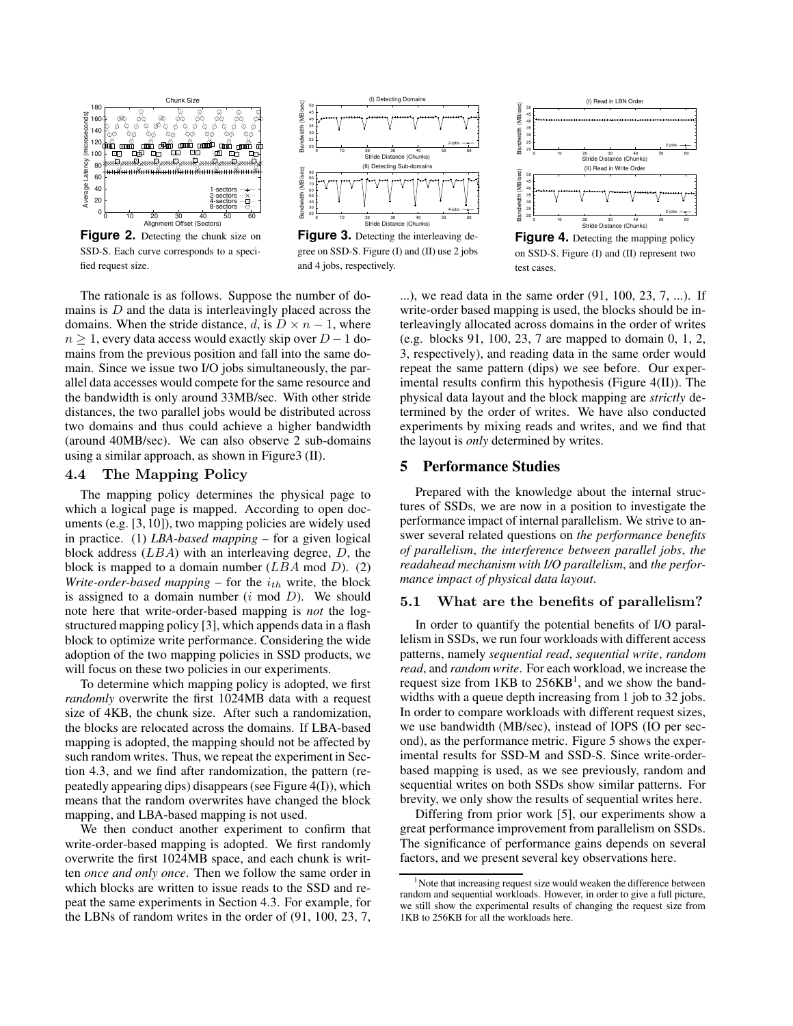

Figure 2. Detecting the chunk size on SSD-S. Each curve corresponds to a specified request size.



Figure 3. Detecting the interleaving degree on SSD-S. Figure (I) and (II) use 2 jobs and 4 jobs, respectively.



Figure 4. Detecting the mapping policy on SSD-S. Figure (I) and (II) represent two test cases.

The rationale is as follows. Suppose the number of domains is  $D$  and the data is interleavingly placed across the domains. When the stride distance, d, is  $D \times n - 1$ , where  $n \geq 1$ , every data access would exactly skip over  $D-1$  domains from the previous position and fall into the same domain. Since we issue two I/O jobs simultaneously, the parallel data accesses would compete for the same resource and the bandwidth is only around 33MB/sec. With other stride distances, the two parallel jobs would be distributed across two domains and thus could achieve a higher bandwidth (around 40MB/sec). We can also observe 2 sub-domains using a similar approach, as shown in Figure3 (II).

## 4.4 The Mapping Policy

The mapping policy determines the physical page to which a logical page is mapped. According to open documents (e.g. [3, 10]), two mapping policies are widely used in practice. (1) *LBA-based mapping* – for a given logical block address  $(LBA)$  with an interleaving degree,  $D$ , the block is mapped to a domain number  $(LBA \text{ mod } D)$ . (2) *Write-order-based mapping* – for the  $i_{th}$  write, the block is assigned to a domain number  $(i \mod D)$ . We should note here that write-order-based mapping is *not* the logstructured mapping policy [3], which appends data in a flash block to optimize write performance. Considering the wide adoption of the two mapping policies in SSD products, we will focus on these two policies in our experiments.

To determine which mapping policy is adopted, we first *randomly* overwrite the first 1024MB data with a request size of 4KB, the chunk size. After such a randomization, the blocks are relocated across the domains. If LBA-based mapping is adopted, the mapping should not be affected by such random writes. Thus, we repeat the experiment in Section 4.3, and we find after randomization, the pattern (repeatedly appearing dips) disappears (see Figure 4(I)), which means that the random overwrites have changed the block mapping, and LBA-based mapping is not used.

We then conduct another experiment to confirm that write-order-based mapping is adopted. We first randomly overwrite the first 1024MB space, and each chunk is written *once and only once*. Then we follow the same order in which blocks are written to issue reads to the SSD and repeat the same experiments in Section 4.3. For example, for the LBNs of random writes in the order of (91, 100, 23, 7, ...), we read data in the same order (91, 100, 23, 7, ...). If write-order based mapping is used, the blocks should be interleavingly allocated across domains in the order of writes (e.g. blocks 91, 100, 23, 7 are mapped to domain 0, 1, 2, 3, respectively), and reading data in the same order would repeat the same pattern (dips) we see before. Our experimental results confirm this hypothesis (Figure 4(II)). The physical data layout and the block mapping are *strictly* determined by the order of writes. We have also conducted experiments by mixing reads and writes, and we find that the layout is *only* determined by writes.

#### **5 Performance Studies**

Prepared with the knowledge about the internal structures of SSDs, we are now in a position to investigate the performance impact of internal parallelism. We strive to answer several related questions on *the performance benefits of parallelism*, *the interference between parallel jobs*, *the readahead mechanism with I/O parallelism*, and *the performance impact of physical data layout*.

#### 5.1 What are the benefits of parallelism?

In order to quantify the potential benefits of I/O parallelism in SSDs, we run four workloads with different access patterns, namely *sequential read*, *sequential write*, *random read*, and *random write*. For each workload, we increase the request size from  $1KB$  to  $256KB<sup>1</sup>$ , and we show the bandwidths with a queue depth increasing from 1 job to 32 jobs. In order to compare workloads with different request sizes, we use bandwidth (MB/sec), instead of IOPS (IO per second), as the performance metric. Figure 5 shows the experimental results for SSD-M and SSD-S. Since write-orderbased mapping is used, as we see previously, random and sequential writes on both SSDs show similar patterns. For brevity, we only show the results of sequential writes here.

Differing from prior work [5], our experiments show a great performance improvement from parallelism on SSDs. The significance of performance gains depends on several factors, and we present several key observations here.

 $1$ Note that increasing request size would weaken the difference between random and sequential workloads. However, in order to give a full picture, we still show the experimental results of changing the request size from 1KB to 256KB for all the workloads here.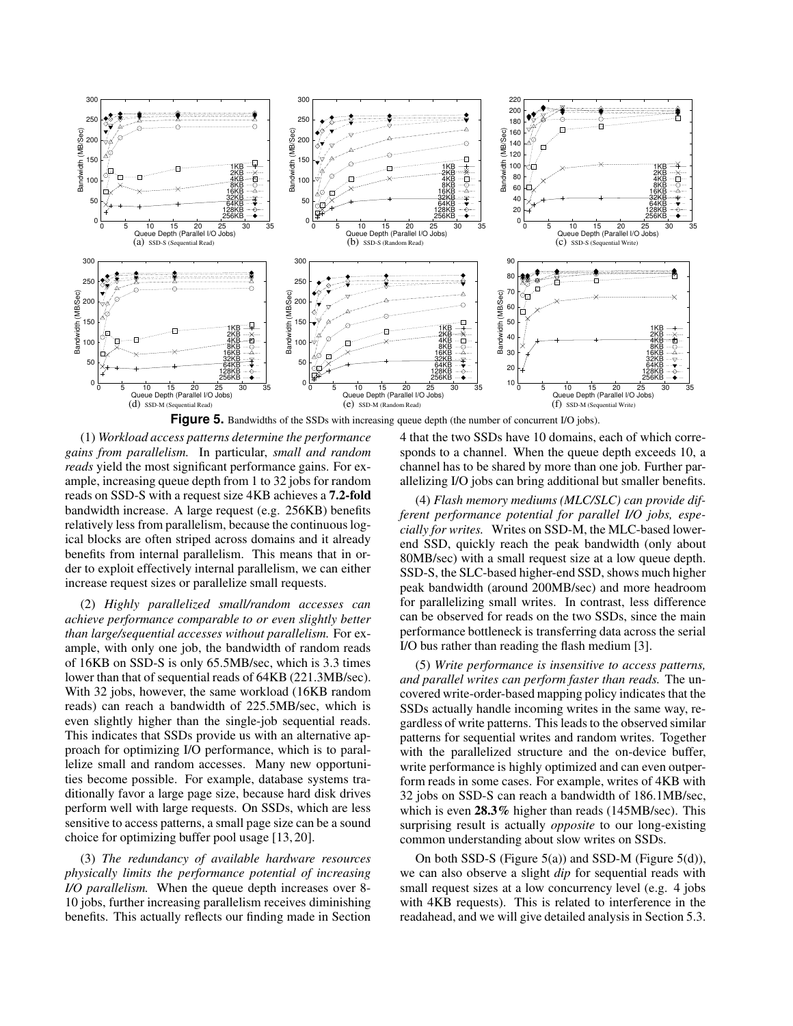

**Figure 5.** Bandwidths of the SSDs with increasing queue depth (the number of concurrent I/O jobs).

(1) *Workload access patterns determine the performance gains from parallelism.* In particular, *small and random reads* yield the most significant performance gains. For example, increasing queue depth from 1 to 32 jobs for random reads on SSD-S with a request size 4KB achieves a **7.2-fold** bandwidth increase. A large request (e.g. 256KB) benefits relatively less from parallelism, because the continuous logical blocks are often striped across domains and it already benefits from internal parallelism. This means that in order to exploit effectively internal parallelism, we can either increase request sizes or parallelize small requests.

(2) *Highly parallelized small/random accesses can achieve performance comparable to or even slightly better than large/sequential accesses without parallelism.* For example, with only one job, the bandwidth of random reads of 16KB on SSD-S is only 65.5MB/sec, which is 3.3 times lower than that of sequential reads of 64KB (221.3MB/sec). With 32 jobs, however, the same workload (16KB random reads) can reach a bandwidth of 225.5MB/sec, which is even slightly higher than the single-job sequential reads. This indicates that SSDs provide us with an alternative approach for optimizing I/O performance, which is to parallelize small and random accesses. Many new opportunities become possible. For example, database systems traditionally favor a large page size, because hard disk drives perform well with large requests. On SSDs, which are less sensitive to access patterns, a small page size can be a sound choice for optimizing buffer pool usage [13, 20].

(3) *The redundancy of available hardware resources physically limits the performance potential of increasing I/O parallelism.* When the queue depth increases over 8- 10 jobs, further increasing parallelism receives diminishing benefits. This actually reflects our finding made in Section

4 that the two SSDs have 10 domains, each of which corresponds to a channel. When the queue depth exceeds 10, a channel has to be shared by more than one job. Further parallelizing I/O jobs can bring additional but smaller benefits.

(4) *Flash memory mediums (MLC/SLC) can provide different performance potential for parallel I/O jobs, especially for writes.* Writes on SSD-M, the MLC-based lowerend SSD, quickly reach the peak bandwidth (only about 80MB/sec) with a small request size at a low queue depth. SSD-S, the SLC-based higher-end SSD, shows much higher peak bandwidth (around 200MB/sec) and more headroom for parallelizing small writes. In contrast, less difference can be observed for reads on the two SSDs, since the main performance bottleneck is transferring data across the serial I/O bus rather than reading the flash medium [3].

(5) *Write performance is insensitive to access patterns, and parallel writes can perform faster than reads.* The uncovered write-order-based mapping policy indicates that the SSDs actually handle incoming writes in the same way, regardless of write patterns. This leads to the observed similar patterns for sequential writes and random writes. Together with the parallelized structure and the on-device buffer, write performance is highly optimized and can even outperform reads in some cases. For example, writes of 4KB with 32 jobs on SSD-S can reach a bandwidth of 186.1MB/sec, which is even **28.3%** higher than reads (145MB/sec). This surprising result is actually *opposite* to our long-existing common understanding about slow writes on SSDs.

On both SSD-S (Figure 5(a)) and SSD-M (Figure 5(d)), we can also observe a slight *dip* for sequential reads with small request sizes at a low concurrency level (e.g. 4 jobs with 4KB requests). This is related to interference in the readahead, and we will give detailed analysis in Section 5.3.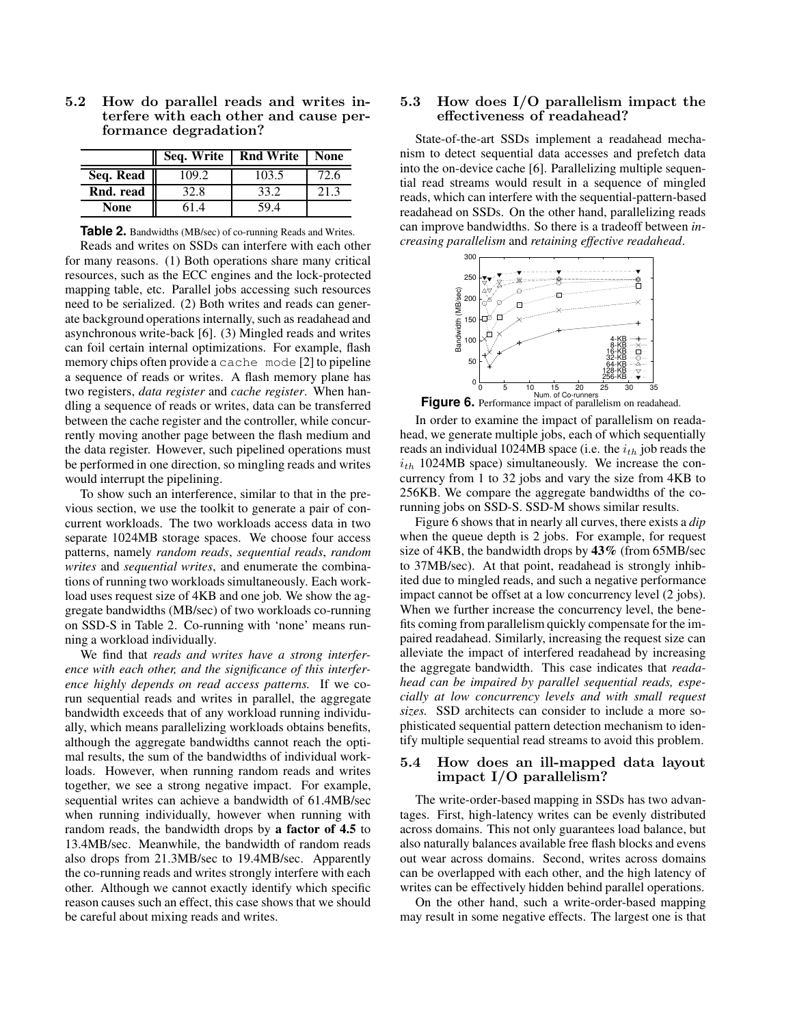|           | Seq. Write | <b>Rnd Write</b> | <b>None</b> |
|-----------|------------|------------------|-------------|
| Seq. Read | 109.2      | 103.5            | 72.6        |
| Rnd. read | 32.8       | 33.2             | 21.3        |
| None      | 61 4       | 594              |             |

5.2 How do parallel reads and writes interfere with each other and cause performance degradation?

**Table 2.** Bandwidths (MB/sec) of co-running Reads and Writes. Reads and writes on SSDs can interfere with each other for many reasons. (1) Both operations share many critical resources, such as the ECC engines and the lock-protected mapping table, etc. Parallel jobs accessing such resources need to be serialized. (2) Both writes and reads can generate background operations internally, such as readahead and asynchronous write-back [6]. (3) Mingled reads and writes can foil certain internal optimizations. For example, flash memory chips often provide a cache mode [2] to pipeline a sequence of reads or writes. A flash memory plane has two registers, *data register* and *cache register*. When handling a sequence of reads or writes, data can be transferred between the cache register and the controller, while concurrently moving another page between the flash medium and the data register. However, such pipelined operations must be performed in one direction, so mingling reads and writes would interrupt the pipelining.

To show such an interference, similar to that in the previous section, we use the toolkit to generate a pair of concurrent workloads. The two workloads access data in two separate 1024MB storage spaces. We choose four access patterns, namely *random reads*, *sequential reads*, *random writes* and *sequential writes*, and enumerate the combinations of running two workloads simultaneously. Each workload uses request size of 4KB and one job. We show the aggregate bandwidths (MB/sec) of two workloads co-running on SSD-S in Table 2. Co-running with 'none' means running a workload individually.

We find that *reads and writes have a strong interference with each other, and the significance of this interference highly depends on read access patterns.* If we corun sequential reads and writes in parallel, the aggregate bandwidth exceeds that of any workload running individually, which means parallelizing workloads obtains benefits, although the aggregate bandwidths cannot reach the optimal results, the sum of the bandwidths of individual workloads. However, when running random reads and writes together, we see a strong negative impact. For example, sequential writes can achieve a bandwidth of 61.4MB/sec when running individually, however when running with random reads, the bandwidth drops by **a factor of 4.5** to 13.4MB/sec. Meanwhile, the bandwidth of random reads also drops from 21.3MB/sec to 19.4MB/sec. Apparently the co-running reads and writes strongly interfere with each other. Although we cannot exactly identify which specific reason causes such an effect, this case shows that we should be careful about mixing reads and writes.

#### 5.3 How does I/O parallelism impact the effectiveness of readahead?

State-of-the-art SSDs implement a readahead mechanism to detect sequential data accesses and prefetch data into the on-device cache [6]. Parallelizing multiple sequential read streams would result in a sequence of mingled reads, which can interfere with the sequential-pattern-based readahead on SSDs. On the other hand, parallelizing reads can improve bandwidths. So there is a tradeoff between *increasing parallelism* and *retaining effective readahead*.



In order to examine the impact of parallelism on readahead, we generate multiple jobs, each of which sequentially reads an individual 1024MB space (i.e. the  $i_{th}$  job reads the  $i_{th}$  1024MB space) simultaneously. We increase the concurrency from 1 to 32 jobs and vary the size from 4KB to 256KB. We compare the aggregate bandwidths of the corunning jobs on SSD-S. SSD-M shows similar results.

Figure 6 shows that in nearly all curves, there exists a *dip* when the queue depth is 2 jobs. For example, for request size of 4KB, the bandwidth drops by **43%** (from 65MB/sec to 37MB/sec). At that point, readahead is strongly inhibited due to mingled reads, and such a negative performance impact cannot be offset at a low concurrency level (2 jobs). When we further increase the concurrency level, the benefits coming from parallelism quickly compensate for the impaired readahead. Similarly, increasing the request size can alleviate the impact of interfered readahead by increasing the aggregate bandwidth. This case indicates that *readahead can be impaired by parallel sequential reads, especially at low concurrency levels and with small request sizes.* SSD architects can consider to include a more sophisticated sequential pattern detection mechanism to identify multiple sequential read streams to avoid this problem.

## 5.4 How does an ill-mapped data layout impact I/O parallelism?

The write-order-based mapping in SSDs has two advantages. First, high-latency writes can be evenly distributed across domains. This not only guarantees load balance, but also naturally balances available free flash blocks and evens out wear across domains. Second, writes across domains can be overlapped with each other, and the high latency of writes can be effectively hidden behind parallel operations.

On the other hand, such a write-order-based mapping may result in some negative effects. The largest one is that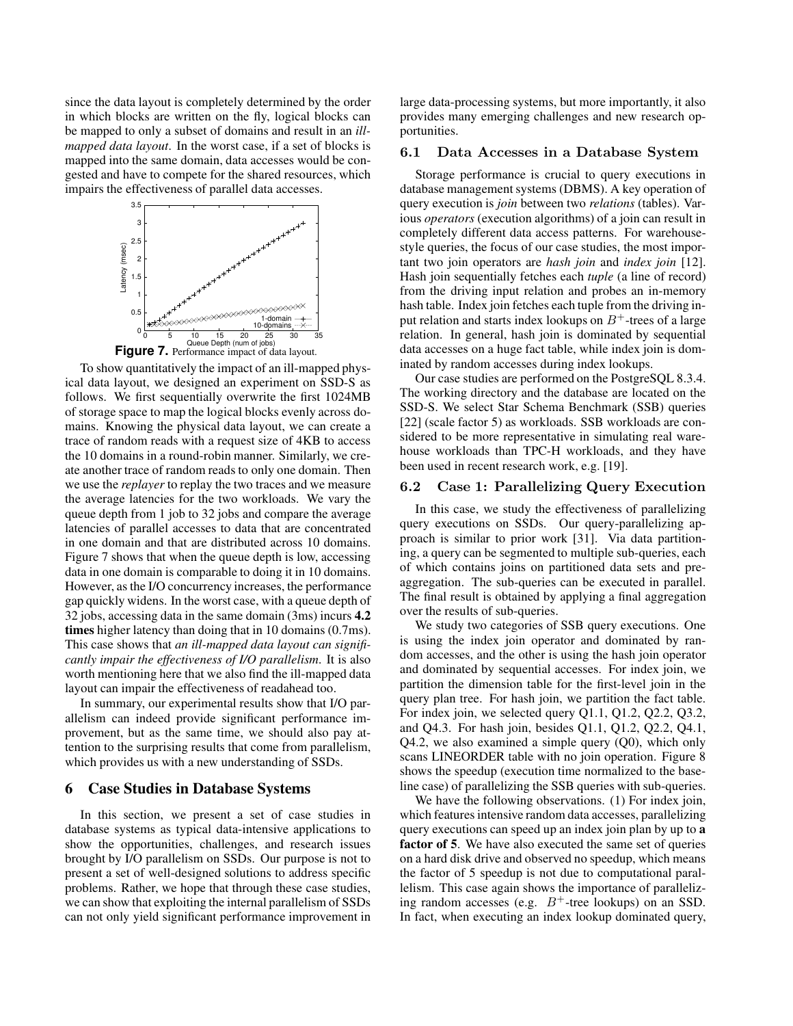since the data layout is completely determined by the order in which blocks are written on the fly, logical blocks can be mapped to only a subset of domains and result in an *illmapped data layout*. In the worst case, if a set of blocks is mapped into the same domain, data accesses would be congested and have to compete for the shared resources, which impairs the effectiveness of parallel data accesses.



To show quantitatively the impact of an ill-mapped physical data layout, we designed an experiment on SSD-S as follows. We first sequentially overwrite the first 1024MB of storage space to map the logical blocks evenly across domains. Knowing the physical data layout, we can create a trace of random reads with a request size of 4KB to access the 10 domains in a round-robin manner. Similarly, we create another trace of random reads to only one domain. Then we use the *replayer* to replay the two traces and we measure the average latencies for the two workloads. We vary the queue depth from 1 job to 32 jobs and compare the average latencies of parallel accesses to data that are concentrated in one domain and that are distributed across 10 domains. Figure 7 shows that when the queue depth is low, accessing data in one domain is comparable to doing it in 10 domains. However, as the I/O concurrency increases, the performance gap quickly widens. In the worst case, with a queue depth of 32 jobs, accessing data in the same domain (3ms) incurs **4.2 times** higher latency than doing that in 10 domains (0.7ms). This case shows that *an ill-mapped data layout can significantly impair the effectiveness of I/O parallelism*. It is also worth mentioning here that we also find the ill-mapped data layout can impair the effectiveness of readahead too.

In summary, our experimental results show that I/O parallelism can indeed provide significant performance improvement, but as the same time, we should also pay attention to the surprising results that come from parallelism, which provides us with a new understanding of SSDs.

# **6 Case Studies in Database Systems**

In this section, we present a set of case studies in database systems as typical data-intensive applications to show the opportunities, challenges, and research issues brought by I/O parallelism on SSDs. Our purpose is not to present a set of well-designed solutions to address specific problems. Rather, we hope that through these case studies, we can show that exploiting the internal parallelism of SSDs can not only yield significant performance improvement in large data-processing systems, but more importantly, it also provides many emerging challenges and new research opportunities.

#### 6.1 Data Accesses in a Database System

Storage performance is crucial to query executions in database management systems (DBMS). A key operation of query execution is *join* between two *relations* (tables). Various *operators* (execution algorithms) of a join can result in completely different data access patterns. For warehousestyle queries, the focus of our case studies, the most important two join operators are *hash join* and *index join* [12]. Hash join sequentially fetches each *tuple* (a line of record) from the driving input relation and probes an in-memory hash table. Index join fetches each tuple from the driving input relation and starts index lookups on  $B^+$ -trees of a large relation. In general, hash join is dominated by sequential data accesses on a huge fact table, while index join is dominated by random accesses during index lookups.

Our case studies are performed on the PostgreSQL 8.3.4. The working directory and the database are located on the SSD-S. We select Star Schema Benchmark (SSB) queries [22] (scale factor 5) as workloads. SSB workloads are considered to be more representative in simulating real warehouse workloads than TPC-H workloads, and they have been used in recent research work, e.g. [19].

#### 6.2 Case 1: Parallelizing Query Execution

In this case, we study the effectiveness of parallelizing query executions on SSDs. Our query-parallelizing approach is similar to prior work [31]. Via data partitioning, a query can be segmented to multiple sub-queries, each of which contains joins on partitioned data sets and preaggregation. The sub-queries can be executed in parallel. The final result is obtained by applying a final aggregation over the results of sub-queries.

We study two categories of SSB query executions. One is using the index join operator and dominated by random accesses, and the other is using the hash join operator and dominated by sequential accesses. For index join, we partition the dimension table for the first-level join in the query plan tree. For hash join, we partition the fact table. For index join, we selected query Q1.1, Q1.2, Q2.2, Q3.2, and Q4.3. For hash join, besides Q1.1, Q1.2, Q2.2, Q4.1, Q4.2, we also examined a simple query (Q0), which only scans LINEORDER table with no join operation. Figure 8 shows the speedup (execution time normalized to the baseline case) of parallelizing the SSB queries with sub-queries.

We have the following observations. (1) For index join, which features intensive random data accesses, parallelizing query executions can speed up an index join plan by up to **a factor of 5**. We have also executed the same set of queries on a hard disk drive and observed no speedup, which means the factor of 5 speedup is not due to computational parallelism. This case again shows the importance of parallelizing random accesses (e.g.  $B^+$ -tree lookups) on an SSD. In fact, when executing an index lookup dominated query,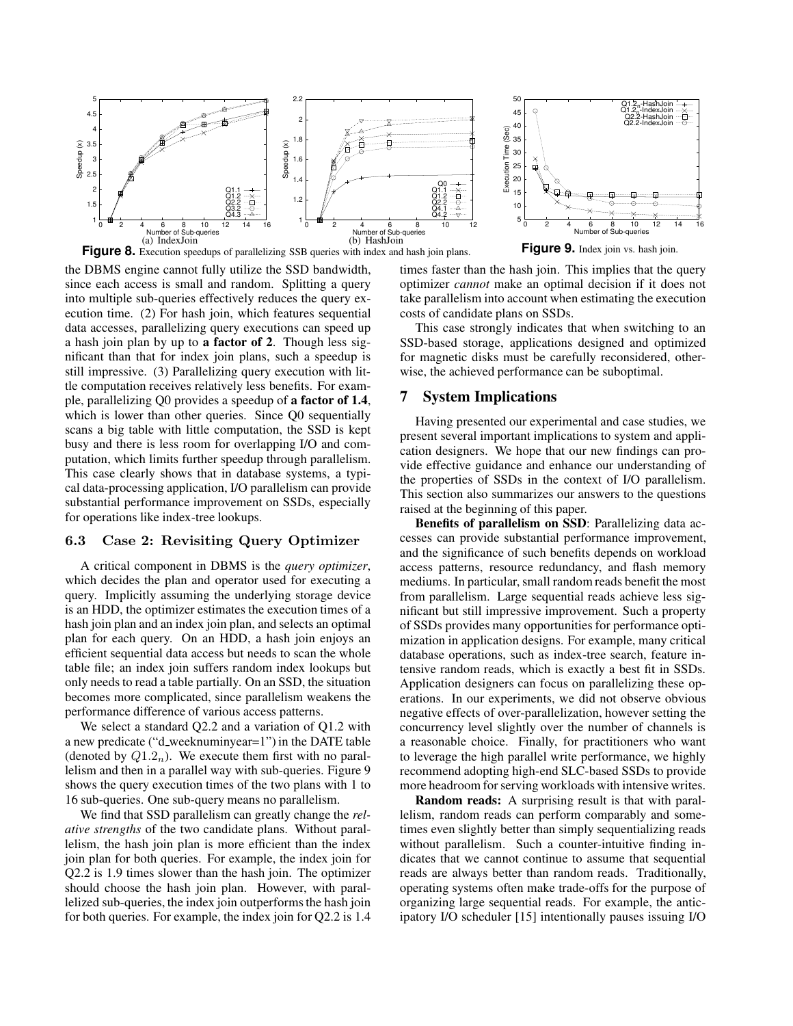

Figure 8. Execution speedups of parallelizing SSB queries with index and hash join plans.

the DBMS engine cannot fully utilize the SSD bandwidth, since each access is small and random. Splitting a query into multiple sub-queries effectively reduces the query execution time. (2) For hash join, which features sequential data accesses, parallelizing query executions can speed up a hash join plan by up to **a factor of 2**. Though less significant than that for index join plans, such a speedup is still impressive. (3) Parallelizing query execution with little computation receives relatively less benefits. For example, parallelizing Q0 provides a speedup of **a factor of 1.4**, which is lower than other queries. Since Q0 sequentially scans a big table with little computation, the SSD is kept busy and there is less room for overlapping I/O and computation, which limits further speedup through parallelism. This case clearly shows that in database systems, a typical data-processing application, I/O parallelism can provide substantial performance improvement on SSDs, especially for operations like index-tree lookups.

# 6.3 Case 2: Revisiting Query Optimizer

A critical component in DBMS is the *query optimizer*, which decides the plan and operator used for executing a query. Implicitly assuming the underlying storage device is an HDD, the optimizer estimates the execution times of a hash join plan and an index join plan, and selects an optimal plan for each query. On an HDD, a hash join enjoys an efficient sequential data access but needs to scan the whole table file; an index join suffers random index lookups but only needs to read a table partially. On an SSD, the situation becomes more complicated, since parallelism weakens the performance difference of various access patterns.

We select a standard Q2.2 and a variation of Q1.2 with a new predicate ("d weeknuminyear=1") in the DATE table (denoted by  $Q1.2<sub>n</sub>$ ). We execute them first with no parallelism and then in a parallel way with sub-queries. Figure 9 shows the query execution times of the two plans with 1 to 16 sub-queries. One sub-query means no parallelism.

We find that SSD parallelism can greatly change the *relative strengths* of the two candidate plans. Without parallelism, the hash join plan is more efficient than the index join plan for both queries. For example, the index join for Q2.2 is 1.9 times slower than the hash join. The optimizer should choose the hash join plan. However, with parallelized sub-queries, the index join outperforms the hash join for both queries. For example, the index join for Q2.2 is 1.4 times faster than the hash join. This implies that the query optimizer *cannot* make an optimal decision if it does not take parallelism into account when estimating the execution costs of candidate plans on SSDs.

Execution Time (Sec)

Execution Time (Sec)

This case strongly indicates that when switching to an SSD-based storage, applications designed and optimized for magnetic disks must be carefully reconsidered, otherwise, the achieved performance can be suboptimal.

## **7 System Implications**

Having presented our experimental and case studies, we present several important implications to system and application designers. We hope that our new findings can provide effective guidance and enhance our understanding of the properties of SSDs in the context of I/O parallelism. This section also summarizes our answers to the questions raised at the beginning of this paper.

**Benefits of parallelism on SSD**: Parallelizing data accesses can provide substantial performance improvement, and the significance of such benefits depends on workload access patterns, resource redundancy, and flash memory mediums. In particular, small random reads benefit the most from parallelism. Large sequential reads achieve less significant but still impressive improvement. Such a property of SSDs provides many opportunities for performance optimization in application designs. For example, many critical database operations, such as index-tree search, feature intensive random reads, which is exactly a best fit in SSDs. Application designers can focus on parallelizing these operations. In our experiments, we did not observe obvious negative effects of over-parallelization, however setting the concurrency level slightly over the number of channels is a reasonable choice. Finally, for practitioners who want to leverage the high parallel write performance, we highly recommend adopting high-end SLC-based SSDs to provide more headroom for serving workloads with intensive writes.

**Random reads:** A surprising result is that with parallelism, random reads can perform comparably and sometimes even slightly better than simply sequentializing reads without parallelism. Such a counter-intuitive finding indicates that we cannot continue to assume that sequential reads are always better than random reads. Traditionally, operating systems often make trade-offs for the purpose of organizing large sequential reads. For example, the anticipatory I/O scheduler [15] intentionally pauses issuing I/O



Q1.2<br>Q1.2 Q1.2<sub>n</sub>-HashJoin<br>Q1.2<sub>n</sub>-IndexJoin<br>Q2.2-HashJoin<br>Q2.2-IndexJoin

首

Figure 9. Index join vs. hash join.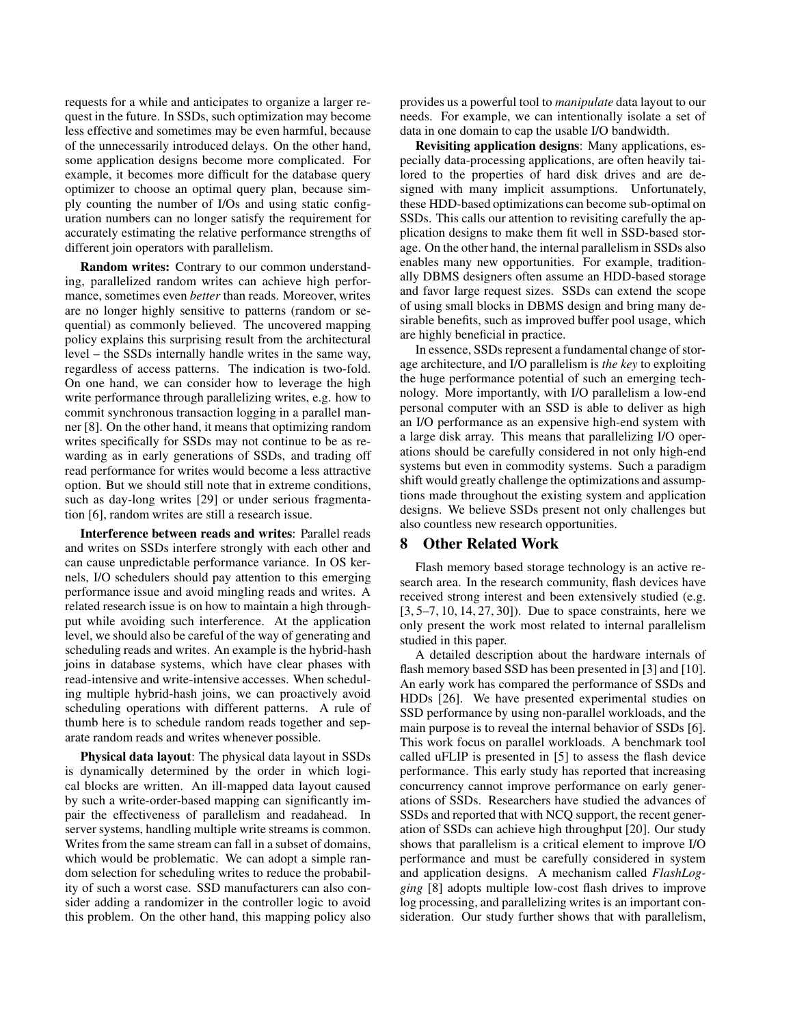requests for a while and anticipates to organize a larger request in the future. In SSDs, such optimization may become less effective and sometimes may be even harmful, because of the unnecessarily introduced delays. On the other hand, some application designs become more complicated. For example, it becomes more difficult for the database query optimizer to choose an optimal query plan, because simply counting the number of I/Os and using static configuration numbers can no longer satisfy the requirement for accurately estimating the relative performance strengths of different join operators with parallelism.

**Random writes:** Contrary to our common understanding, parallelized random writes can achieve high performance, sometimes even *better* than reads. Moreover, writes are no longer highly sensitive to patterns (random or sequential) as commonly believed. The uncovered mapping policy explains this surprising result from the architectural level – the SSDs internally handle writes in the same way, regardless of access patterns. The indication is two-fold. On one hand, we can consider how to leverage the high write performance through parallelizing writes, e.g. how to commit synchronous transaction logging in a parallel manner [8]. On the other hand, it means that optimizing random writes specifically for SSDs may not continue to be as rewarding as in early generations of SSDs, and trading off read performance for writes would become a less attractive option. But we should still note that in extreme conditions, such as day-long writes [29] or under serious fragmentation [6], random writes are still a research issue.

**Interference between reads and writes**: Parallel reads and writes on SSDs interfere strongly with each other and can cause unpredictable performance variance. In OS kernels, I/O schedulers should pay attention to this emerging performance issue and avoid mingling reads and writes. A related research issue is on how to maintain a high throughput while avoiding such interference. At the application level, we should also be careful of the way of generating and scheduling reads and writes. An example is the hybrid-hash joins in database systems, which have clear phases with read-intensive and write-intensive accesses. When scheduling multiple hybrid-hash joins, we can proactively avoid scheduling operations with different patterns. A rule of thumb here is to schedule random reads together and separate random reads and writes whenever possible.

**Physical data layout**: The physical data layout in SSDs is dynamically determined by the order in which logical blocks are written. An ill-mapped data layout caused by such a write-order-based mapping can significantly impair the effectiveness of parallelism and readahead. In server systems, handling multiple write streams is common. Writes from the same stream can fall in a subset of domains, which would be problematic. We can adopt a simple random selection for scheduling writes to reduce the probability of such a worst case. SSD manufacturers can also consider adding a randomizer in the controller logic to avoid this problem. On the other hand, this mapping policy also provides us a powerful tool to *manipulate* data layout to our needs. For example, we can intentionally isolate a set of data in one domain to cap the usable I/O bandwidth.

**Revisiting application designs**: Many applications, especially data-processing applications, are often heavily tailored to the properties of hard disk drives and are designed with many implicit assumptions. Unfortunately, these HDD-based optimizations can become sub-optimal on SSDs. This calls our attention to revisiting carefully the application designs to make them fit well in SSD-based storage. On the other hand, the internal parallelism in SSDs also enables many new opportunities. For example, traditionally DBMS designers often assume an HDD-based storage and favor large request sizes. SSDs can extend the scope of using small blocks in DBMS design and bring many desirable benefits, such as improved buffer pool usage, which are highly beneficial in practice.

In essence, SSDs represent a fundamental change of storage architecture, and I/O parallelism is *the key* to exploiting the huge performance potential of such an emerging technology. More importantly, with I/O parallelism a low-end personal computer with an SSD is able to deliver as high an I/O performance as an expensive high-end system with a large disk array. This means that parallelizing I/O operations should be carefully considered in not only high-end systems but even in commodity systems. Such a paradigm shift would greatly challenge the optimizations and assumptions made throughout the existing system and application designs. We believe SSDs present not only challenges but also countless new research opportunities.

# **8 Other Related Work**

Flash memory based storage technology is an active research area. In the research community, flash devices have received strong interest and been extensively studied (e.g. [3, 5–7, 10, 14, 27, 30]). Due to space constraints, here we only present the work most related to internal parallelism studied in this paper.

A detailed description about the hardware internals of flash memory based SSD has been presented in [3] and [10]. An early work has compared the performance of SSDs and HDDs [26]. We have presented experimental studies on SSD performance by using non-parallel workloads, and the main purpose is to reveal the internal behavior of SSDs [6]. This work focus on parallel workloads. A benchmark tool called uFLIP is presented in [5] to assess the flash device performance. This early study has reported that increasing concurrency cannot improve performance on early generations of SSDs. Researchers have studied the advances of SSDs and reported that with NCQ support, the recent generation of SSDs can achieve high throughput [20]. Our study shows that parallelism is a critical element to improve I/O performance and must be carefully considered in system and application designs. A mechanism called *FlashLogging* [8] adopts multiple low-cost flash drives to improve log processing, and parallelizing writes is an important consideration. Our study further shows that with parallelism,